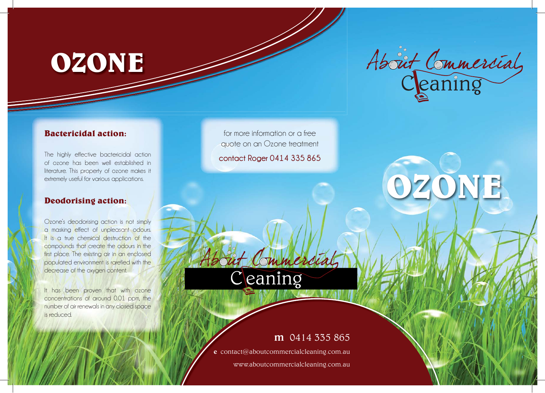## **OZONE**

# About Commercial

**OZONE**

#### **Bactericidal action:**

The highly effective bactericidal action of ozone has been well established in literature. This property of ozone makes it extremely useful for various applications.

#### **Deodorising action:**

Ozone's deodorising action is not simply a masking effect of unpleasant odours. It is a true chemical destruction of the compounds that create the odours in the first place. The existing air in an enclosed populated environment is rarefied with the decrease of the oxygen content.

It has been proven that with ozone concentrations of around 0.01 ppm, the number of air renewals in any closed space is reduced.

for more information or a free quote on an Ozone treatment

**contact Roger 0414 335 865**

Ceaning

Commer

### m 0414 335 865

e contact@aboutcommercialcleaning.com.au

www.aboutcommercialcleaning.com.au